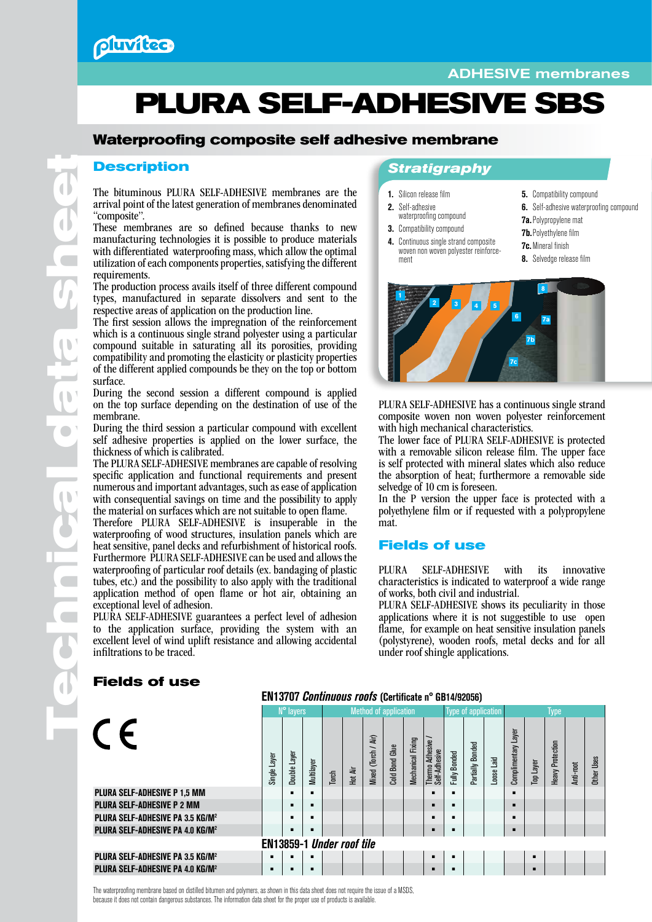

# ADHESIVE membranes

# **PLURA SELF-ADHESIVE SBS**

# **Waterproofing composite self adhesive membrane**

#### **Description**

The bituminous PLURA SELF-ADHESIVE membranes are the arrival point of the latest generation of membranes denominated "composite".

These membranes are so defined because thanks to new manufacturing technologies it is possible to produce materials with differentiated waterproofing mass, which allow the optimal utilization of each components properties, satisfying the different requirements.

The production process avails itself of three different compound types, manufactured in separate dissolvers and sent to the respective areas of application on the production line.

The first session allows the impregnation of the reinforcement which is a continuous single strand polyester using a particular compound suitable in saturating all its porosities, providing compatibility and promoting the elasticity or plasticity properties of the different applied compounds be they on the top or bottom surface.

During the second session a different compound is applied on the top surface depending on the destination of use of the membrane.

During the third session a particular compound with excellent self adhesive properties is applied on the lower surface, the thickness of which is calibrated.

The PLURA SELF-ADHESIVE membranes are capable of resolving specific application and functional requirements and present numerous and important advantages, such as ease of application with consequential savings on time and the possibility to apply the material on surfaces which are not suitable to open flame.

Therefore PLURA SELF-ADHESIVE is insuperable in the waterproofing of wood structures, insulation panels which are heat sensitive, panel decks and refurbishment of historical roofs. Furthermore PLURA SELF-ADHESIVE can be used and allows the waterproofing of particular roof details (ex. bandaging of plastic tubes, etc.) and the possibility to also apply with the traditional application method of open flame or hot air, obtaining an exceptional level of adhesion.

PLURA SELF-ADHESIVE guarantees a perfect level of adhesion to the application surface, providing the system with an excellent level of wind uplift resistance and allowing accidental infiltrations to be traced.

## *Stratigraphy*

4. Continuous single strand composite woven non woven polyester reinforce- ment

- 1. Silicon release film
- 2. Self-adhesive waterproofing compound
- 3. Compatibility compound
- **5.** Compatibility compound 6. Self-adhesive waterproofing compound
- 7a.Polypropylene mat
	- 7b.Polyethylene film
	- 7c.Mineral finish
	- 8. Selvedge release film



PLURA SELF-ADHESIVE has a continuous single strand composite woven non woven polyester reinforcement with high mechanical characteristics.

The lower face of PLURA SELF-ADHESIVE is protected with a removable silicon release film. The upper face is self protected with mineral slates which also reduce the absorption of heat; furthermore a removable side selvedge of 10 cm is foreseen.

In the P version the upper face is protected with a polyethylene film or if requested with a polypropylene mat.

#### **Fields of use**

PLURA SELF-ADHESIVE with its innovative characteristics is indicated to waterproof a wide range of works, both civil and industrial.

PLURA SELF-ADHESIVE shows its peculiarity in those applications where it is not suggestible to use open flame, for example on heat sensitive insulation panels (polystyrene), wooden roofs, metal decks and for all under roof shingle applications.

| EN13707 Continuous roofs (Certificate n° GB14/92056) |                   |              |            |                              |         |                     |                   |                   |                                           |              |                            |                     |                        |           |                         |           |             |
|------------------------------------------------------|-------------------|--------------|------------|------------------------------|---------|---------------------|-------------------|-------------------|-------------------------------------------|--------------|----------------------------|---------------------|------------------------|-----------|-------------------------|-----------|-------------|
|                                                      | N° layers         |              |            | <b>Method of application</b> |         |                     |                   |                   | <b>Type of application</b>                |              |                            | Type                |                        |           |                         |           |             |
|                                                      | Layer<br>Single I | Double Layer | Multilayer | Torch                        | Hot Air | Mixed (Torch / Air) | Glue<br>Cold Bond | Mechanical Fixing | Thermo Adhesive <i>I</i><br>Self-Adhesive | Fully Bonded | <b>Bonded</b><br>Partially | $\ddot{a}$<br>Loose | Layer<br>Complimentary | Top Layer | <b>Heavy Protection</b> | Anti-root | Other Ilses |
| <b>PLURA SELF-ADHESIVE P 1,5 MM</b>                  |                   |              |            |                              |         |                     |                   |                   |                                           |              |                            |                     | г                      |           |                         |           |             |
| <b>PLURA SELF-ADHESIVE P 2 MM</b>                    |                   | ▬            | п          |                              |         |                     |                   |                   |                                           |              |                            |                     | п                      |           |                         |           |             |
| <b>PLURA SELF-ADHESIVE PA 3.5 KG/M2</b>              |                   |              | ▬          |                              |         |                     |                   |                   |                                           |              |                            |                     | г                      |           |                         |           |             |
| <b>PLURA SELF-ADHESIVE PA 4.0 KG/M<sup>2</sup></b>   |                   | ▬            |            |                              |         |                     |                   |                   |                                           |              |                            |                     | п                      |           |                         |           |             |
| <b>EN13859-1 Under roof tile</b>                     |                   |              |            |                              |         |                     |                   |                   |                                           |              |                            |                     |                        |           |                         |           |             |
| <b>PLURA SELF-ADHESIVE PA 3.5 KG/M<sup>2</sup></b>   | ٠                 |              | п          |                              |         |                     |                   |                   |                                           |              |                            |                     |                        |           |                         |           |             |
| <b>PLURA SELF-ADHESIVE PA 4.0 KG/M<sup>2</sup></b>   |                   |              | п          |                              |         |                     |                   |                   | ▪                                         |              |                            |                     |                        | п         |                         |           |             |
|                                                      |                   |              |            |                              |         |                     |                   |                   |                                           |              |                            |                     |                        |           |                         |           |             |

**Fields of use** 

The waterproofing membrane based on distilled bitumen and polymers, as shown in this data sheet does not require the issue of a MSDS, because it does not contain dangerous substances. The information data sheet for the proper use of products is available.